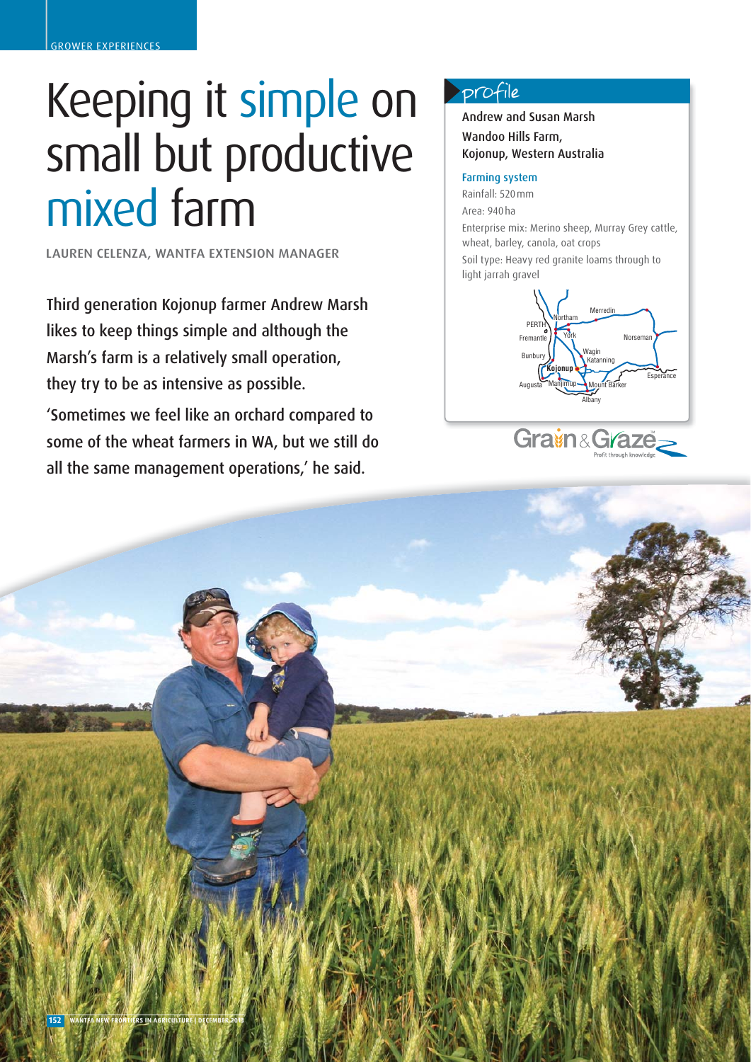**OWER EXPERIE** 

# Keeping it simple on small but productive mixed farm

LAUREN CELENZA, WANTFA EXTENSION MANAGER

Third generation Kojonup farmer Andrew Marsh likes to keep things simple and although the Marsh's farm is a relatively small operation, they try to be as intensive as possible. 'Sometimes we feel like an orchard compared to

some of the wheat farmers in WA, but we still do all the same management operations,' he said.

## profile

Andrew and Susan Marsh Wandoo Hills Farm, Kojonup, Western Australia

#### Farming system

Rainfall: 520 mm Area: 940 ha Enterprise mix: Merino sheep, Murray Grey cattle, wheat, barley, canola, oat crops Soil type: Heavy red granite loams through to light jarrah gravel





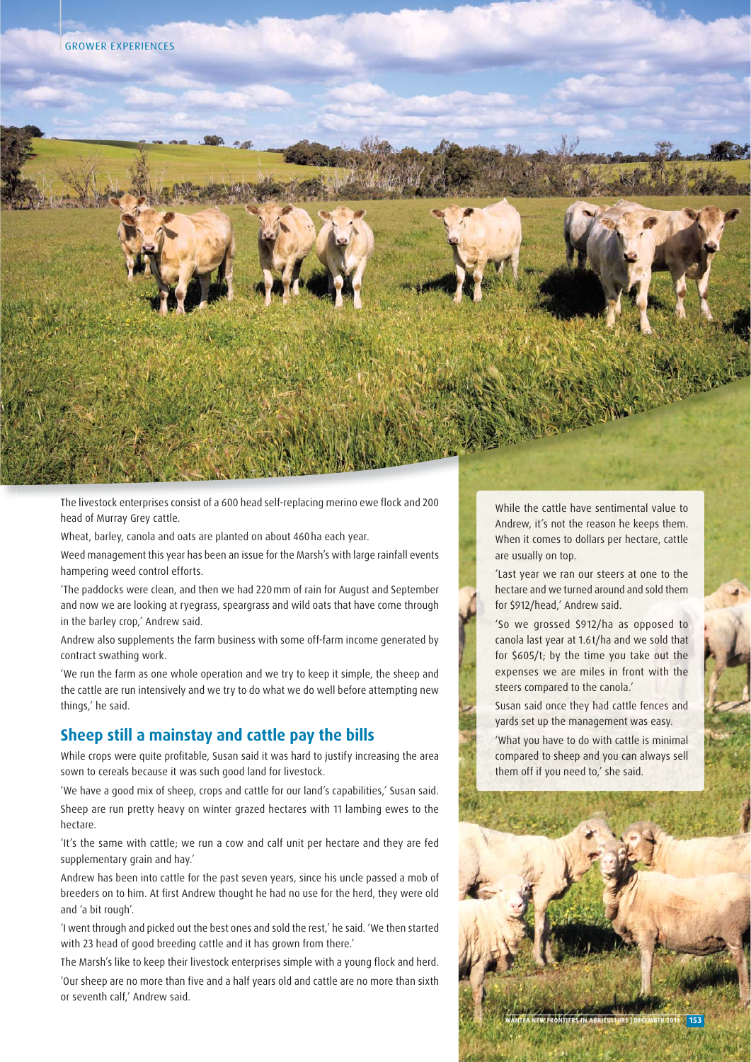

The livestock enterprises consist of a 600 head self-replacing merino ewe flock and 200 head of Murray Grey cattle.

Wheat, barley, canola and oats are planted on about 460 ha each year.

Weed management this year has been an issue for the Marsh's with large rainfall events hampering weed control efforts.

'The paddocks were clean, and then we had 220 mm of rain for August and September and now we are looking at ryegrass, speargrass and wild oats that have come through in the barley crop,' Andrew said.

Andrew also supplements the farm business with some off-farm income generated by contract swathing work.

'We run the farm as one whole operation and we try to keep it simple, the sheep and the cattle are run intensively and we try to do what we do well before attempting new things,' he said.

## **Sheep still a mainstay and cattle pay the bills**

While crops were quite profitable, Susan said it was hard to justify increasing the area sown to cereals because it was such good land for livestock.

'We have a good mix of sheep, crops and cattle for our land's capabilities,' Susan said. Sheep are run pretty heavy on winter grazed hectares with 11 lambing ewes to the hectare.

'It's the same with cattle; we run a cow and calf unit per hectare and they are fed supplementary grain and hay.'

Andrew has been into cattle for the past seven years, since his uncle passed a mob of breeders on to him. At first Andrew thought he had no use for the herd, they were old and 'a bit rough'.

'I went through and picked out the best ones and sold the rest,' he said. 'We then started with 23 head of good breeding cattle and it has grown from there.'

The Marsh's like to keep their livestock enterprises simple with a young flock and herd.

'Our sheep are no more than five and a half years old and cattle are no more than sixth or seventh calf,' Andrew said.

While the cattle have sentimental value to Andrew, it's not the reason he keeps them. When it comes to dollars per hectare, cattle are usually on top.

'Last year we ran our steers at one to the hectare and we turned around and sold them for \$912/head,' Andrew said.

'So we grossed \$912/ha as opposed to canola last year at 1.6 t/ha and we sold that for \$605/t; by the time you take out the expenses we are miles in front with the steers compared to the canola.'

Susan said once they had cattle fences and yards set up the management was easy.

'What you have to do with cattle is minimal compared to sheep and you can always sell them off if you need to,' she said.



WANTFA NEW FRONTIERS IN AGRICULTURE | DECEMBER 2013 A<mark>NTER</mark>